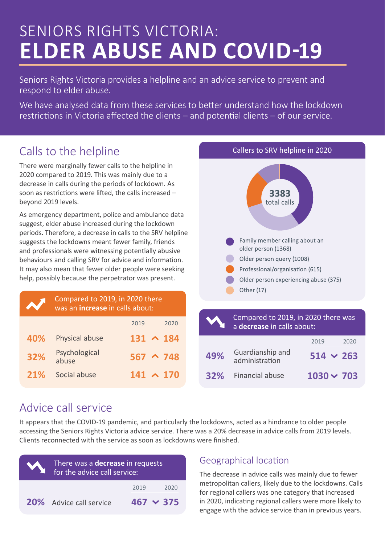# SENIORS RIGHTS VICTORIA: **ELDER ABUSE AND COVID-19**

Seniors Rights Victoria provides a helpline and an advice service to prevent and respond to elder abuse.

We have analysed data from these services to better understand how the lockdown restrictions in Victoria affected the clients – and potential clients – of our service.

# Calls to the helpline

There were marginally fewer calls to the helpline in 2020 compared to 2019. This was mainly due to a decrease in calls during the periods of lockdown. As soon as restrictions were lifted, the calls increased – beyond 2019 levels.

As emergency department, police and ambulance data suggest, elder abuse increased during the lockdown periods. Therefore, a decrease in calls to the SRV helpline suggests the lockdowns meant fewer family, friends and professionals were witnessing potentially abusive behaviours and calling SRV for advice and information. It may also mean that fewer older people were seeking help, possibly because the perpetrator was present.

| <b>U</b> | Compared to 2019, in 2020 there<br>was an <i>increase</i> in calls about: |                  |  |
|----------|---------------------------------------------------------------------------|------------------|--|
|          |                                                                           | 2019<br>2020     |  |
| 40%      | Physical abuse                                                            | $131 \wedge 184$ |  |
| 32%      | Psychological<br>abuse                                                    | $567 \sim 748$   |  |
| 21%      | Social abuse                                                              | $141 \wedge 170$ |  |



|     | Compared to 2019, in 2020 there was<br>a <b>decrease</b> in calls about: |                   |  |
|-----|--------------------------------------------------------------------------|-------------------|--|
|     |                                                                          | 2019<br>2020      |  |
| 49% | Guardianship and<br>administration                                       | $514 \times 263$  |  |
| 32% | Financial abuse                                                          | $1030 \times 703$ |  |

# Advice call service

It appears that the COVID-19 pandemic, and particularly the lockdowns, acted as a hindrance to older people accessing the Seniors Rights Victoria advice service. There was a 20% decrease in advice calls from 2019 levels. Clients reconnected with the service as soon as lockdowns were finished.

| There was a <b>decrease</b> in requests<br>for the advice call service: |                  |  |
|-------------------------------------------------------------------------|------------------|--|
|                                                                         | 2019<br>2020     |  |
| 20% Advice call service                                                 | $467 \times 375$ |  |

## Geographical location

The decrease in advice calls was mainly due to fewer metropolitan callers, likely due to the lockdowns. Calls for regional callers was one category that increased in 2020, indicating regional callers were more likely to engage with the advice service than in previous years.